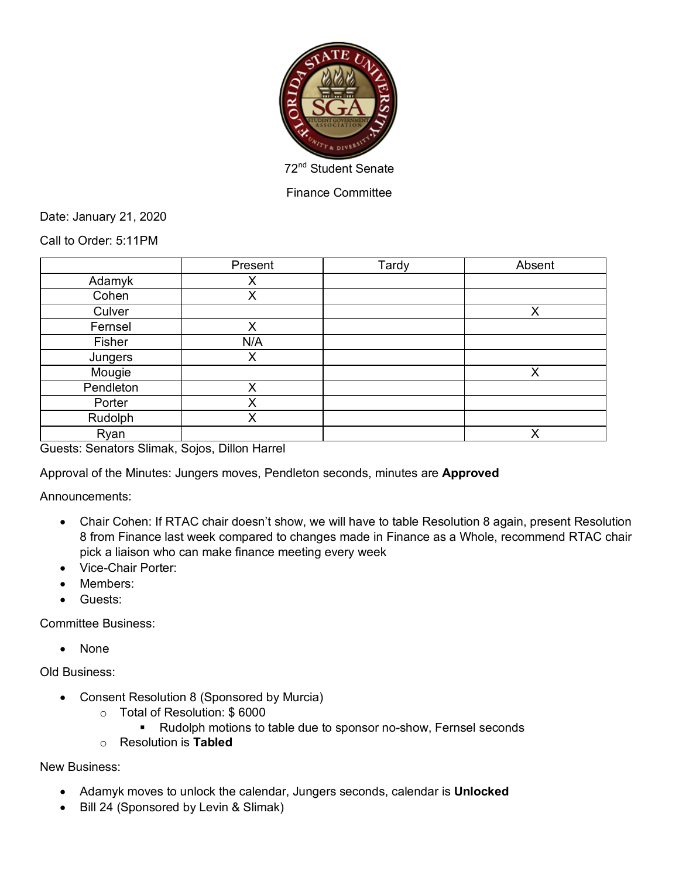

Finance Committee

Date: January 21, 2020

Call to Order: 5:11PM

|           | Present | Tardy | Absent |
|-----------|---------|-------|--------|
| Adamyk    | Χ       |       |        |
| Cohen     | X       |       |        |
| Culver    |         |       | X      |
| Fernsel   | X       |       |        |
| Fisher    | N/A     |       |        |
| Jungers   | X       |       |        |
| Mougie    |         |       | X      |
| Pendleton | X       |       |        |
| Porter    | X       |       |        |
| Rudolph   | X       |       |        |
| Ryan      |         |       | X      |

Guests: Senators Slimak, Sojos, Dillon Harrel

Approval of the Minutes: Jungers moves, Pendleton seconds, minutes are **Approved**

Announcements:

- Chair Cohen: If RTAC chair doesn't show, we will have to table Resolution 8 again, present Resolution 8 from Finance last week compared to changes made in Finance as a Whole, recommend RTAC chair pick a liaison who can make finance meeting every week
- Vice-Chair Porter:
- Members:
- Guests:

Committee Business:

• None

Old Business:

- Consent Resolution 8 (Sponsored by Murcia)
	- o Total of Resolution: \$ 6000
		- Rudolph motions to table due to sponsor no-show, Fernsel seconds
	- o Resolution is **Tabled**

New Business:

- Adamyk moves to unlock the calendar, Jungers seconds, calendar is **Unlocked**
- Bill 24 (Sponsored by Levin & Slimak)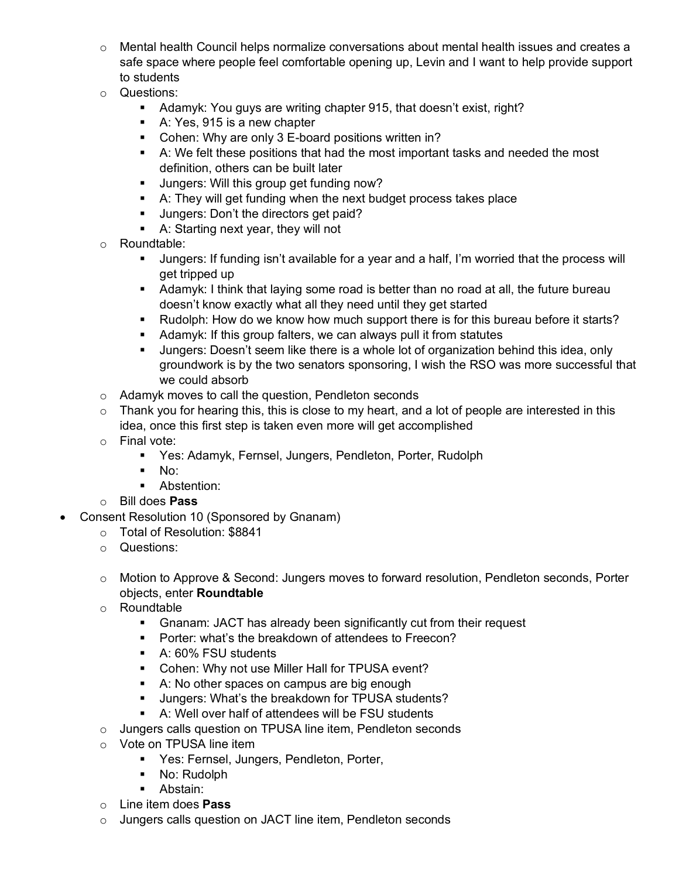- $\circ$  Mental health Council helps normalize conversations about mental health issues and creates a safe space where people feel comfortable opening up, Levin and I want to help provide support to students
- o Questions:
	- Adamyk: You guys are writing chapter 915, that doesn't exist, right?
	- A: Yes, 915 is a new chapter
	- Cohen: Why are only 3 E-board positions written in?
	- A: We felt these positions that had the most important tasks and needed the most definition, others can be built later
	- **•** Jungers: Will this group get funding now?
	- A: They will get funding when the next budget process takes place
	- Jungers: Don't the directors get paid?
	- § A: Starting next year, they will not
- o Roundtable:
	- § Jungers: If funding isn't available for a year and a half, I'm worried that the process will get tripped up
	- **Adamyk: I think that laying some road is better than no road at all, the future bureau** doesn't know exactly what all they need until they get started
	- Rudolph: How do we know how much support there is for this bureau before it starts?
	- Adamyk: If this group falters, we can always pull it from statutes
	- Jungers: Doesn't seem like there is a whole lot of organization behind this idea, only groundwork is by the two senators sponsoring, I wish the RSO was more successful that we could absorb
- o Adamyk moves to call the question, Pendleton seconds
- o Thank you for hearing this, this is close to my heart, and a lot of people are interested in this idea, once this first step is taken even more will get accomplished
- o Final vote:
	- Yes: Adamyk, Fernsel, Jungers, Pendleton, Porter, Rudolph
	- $\blacksquare$  No:
	- **•** Abstention:
- o Bill does **Pass**
- Consent Resolution 10 (Sponsored by Gnanam)
	- o Total of Resolution: \$8841
	- o Questions:
	- o Motion to Approve & Second: Jungers moves to forward resolution, Pendleton seconds, Porter objects, enter **Roundtable**
	- o Roundtable
		- Gnanam: JACT has already been significantly cut from their request
		- Porter: what's the breakdown of attendees to Freecon?
		- A: 60% FSU students
		- Cohen: Why not use Miller Hall for TPUSA event?
		- A: No other spaces on campus are big enough
		- **■** Jungers: What's the breakdown for TPUSA students?
		- A: Well over half of attendees will be FSU students
	- o Jungers calls question on TPUSA line item, Pendleton seconds
	- o Vote on TPUSA line item
		- **Yes: Fernsel, Jungers, Pendleton, Porter,**
		- No: Rudolph
		- Abstain:
	- o Line item does **Pass**
	- o Jungers calls question on JACT line item, Pendleton seconds